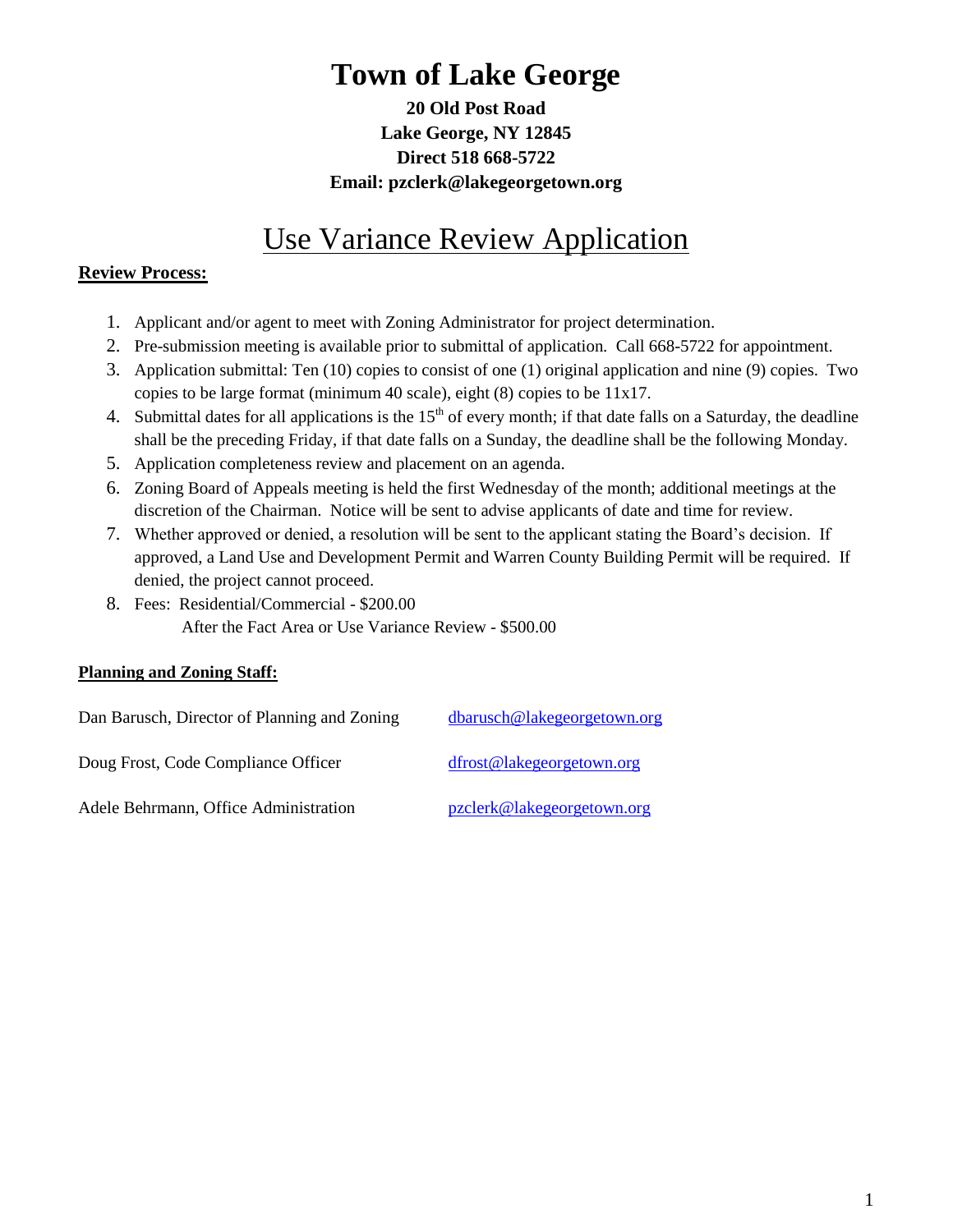# **Town of Lake George**

**20 Old Post Road Lake George, NY 12845 Direct 518 668-5722 Email: pzclerk@lakegeorgetown.org**

## Use Variance Review Application

#### **Review Process:**

- 1. Applicant and/or agent to meet with Zoning Administrator for project determination.
- 2. Pre-submission meeting is available prior to submittal of application. Call 668-5722 for appointment.
- 3. Application submittal: Ten (10) copies to consist of one (1) original application and nine (9) copies. Two copies to be large format (minimum 40 scale), eight (8) copies to be 11x17.
- 4. Submittal dates for all applications is the  $15<sup>th</sup>$  of every month; if that date falls on a Saturday, the deadline shall be the preceding Friday, if that date falls on a Sunday, the deadline shall be the following Monday.
- 5. Application completeness review and placement on an agenda.
- 6. Zoning Board of Appeals meeting is held the first Wednesday of the month; additional meetings at the discretion of the Chairman. Notice will be sent to advise applicants of date and time for review.
- 7. Whether approved or denied, a resolution will be sent to the applicant stating the Board's decision. If approved, a Land Use and Development Permit and Warren County Building Permit will be required. If denied, the project cannot proceed.
- 8. Fees: Residential/Commercial \$200.00 After the Fact Area or Use Variance Review - \$500.00

#### **Planning and Zoning Staff:**

| Dan Barusch, Director of Planning and Zoning | dbarusch@lakegeorgetown.org |
|----------------------------------------------|-----------------------------|
| Doug Frost, Code Compliance Officer          | dfrost@lakegeorgetown.org   |
| Adele Behrmann, Office Administration        | pzclerk@lakegeorgetown.org  |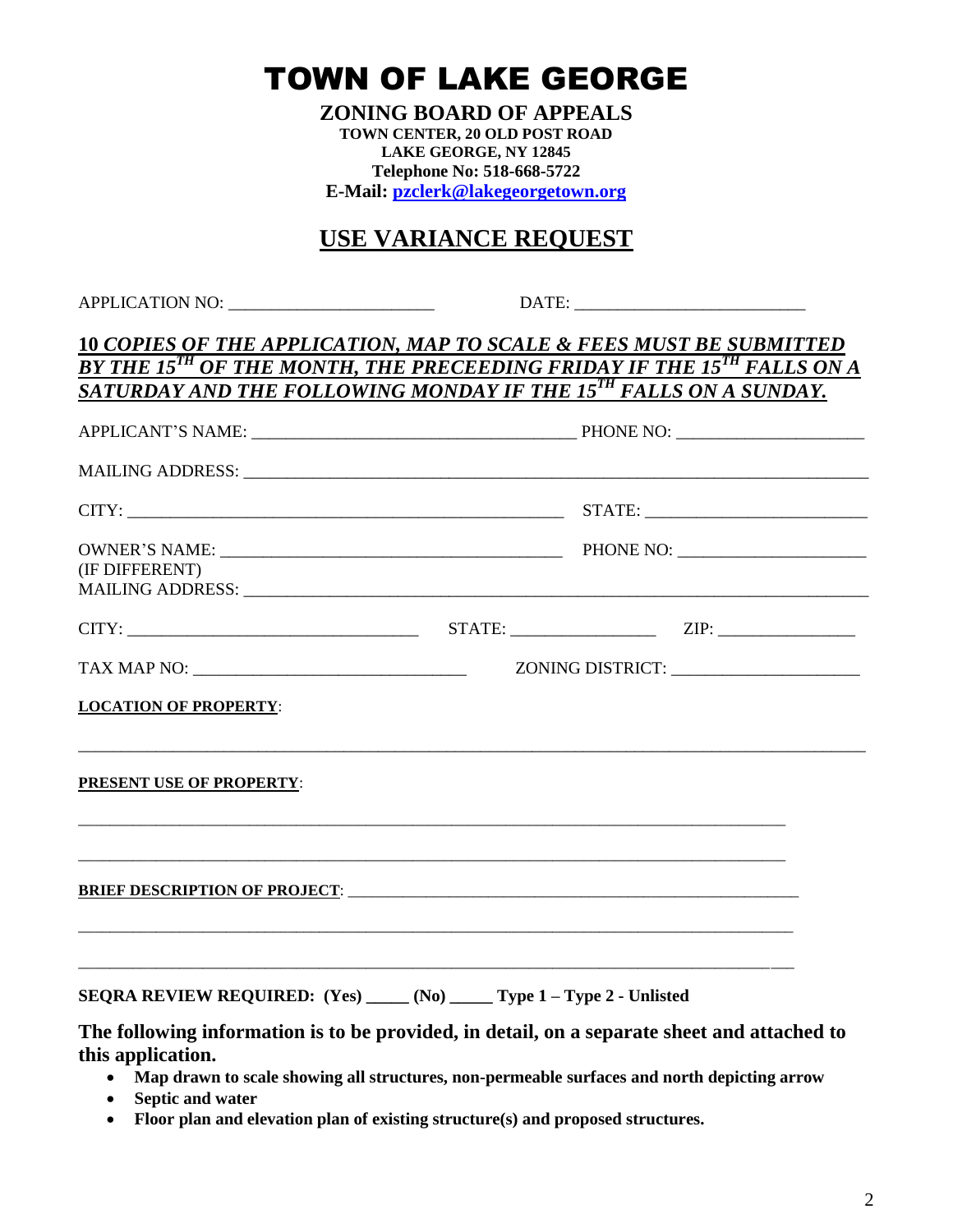TOWN OF LAKE GEORGE

**ZONING BOARD OF APPEALS TOWN CENTER, 20 OLD POST ROAD LAKE GEORGE, NY 12845 Telephone No: 518-668-5722 E-Mail: [pzclerk@lakegeorgetown.org](mailto:pzclerk@lakegeorgetown.org)**

## **USE VARIANCE REQUEST**

APPLICATION NO: \_\_\_\_\_\_\_\_\_\_\_\_\_\_\_\_\_\_\_\_\_\_\_\_ DATE: \_\_\_\_\_\_\_\_\_\_\_\_\_\_\_\_\_\_\_\_\_\_\_\_\_\_\_

#### **10** *COPIES OF THE APPLICATION, MAP TO SCALE & FEES MUST BE SUBMITTED BY THE 15TH OF THE MONTH, THE PRECEEDING FRIDAY IF THE 15TH FALLS ON A SATURDAY AND THE FOLLOWING MONDAY IF THE 15TH FALLS ON A SUNDAY.*

| (IF DIFFERENT)                                                                                                      |  |  |  |
|---------------------------------------------------------------------------------------------------------------------|--|--|--|
| $CITY:$ $ZIP:$ $ZIP:$ $ZIP:$                                                                                        |  |  |  |
|                                                                                                                     |  |  |  |
| <b>LOCATION OF PROPERTY:</b>                                                                                        |  |  |  |
| ,我们也不能在这里的,我们也不能在这里的时候,我们也不能在这里的时候,我们也不能不能在这里的时候,我们也不能不能不能会不能不能。""我们的时候,我们也不能不能会<br><b>PRESENT USE OF PROPERTY:</b> |  |  |  |
|                                                                                                                     |  |  |  |
| SEQRA REVIEW REQUIRED: (Yes) _____ (No) _____ Type 1 - Type 2 - Unlisted                                            |  |  |  |
| The following information is to be provided, in detail, on a separate sheet and attached to<br>this application.    |  |  |  |

- **Map drawn to scale showing all structures, non-permeable surfaces and north depicting arrow**
- **Septic and water**
- **Floor plan and elevation plan of existing structure(s) and proposed structures.**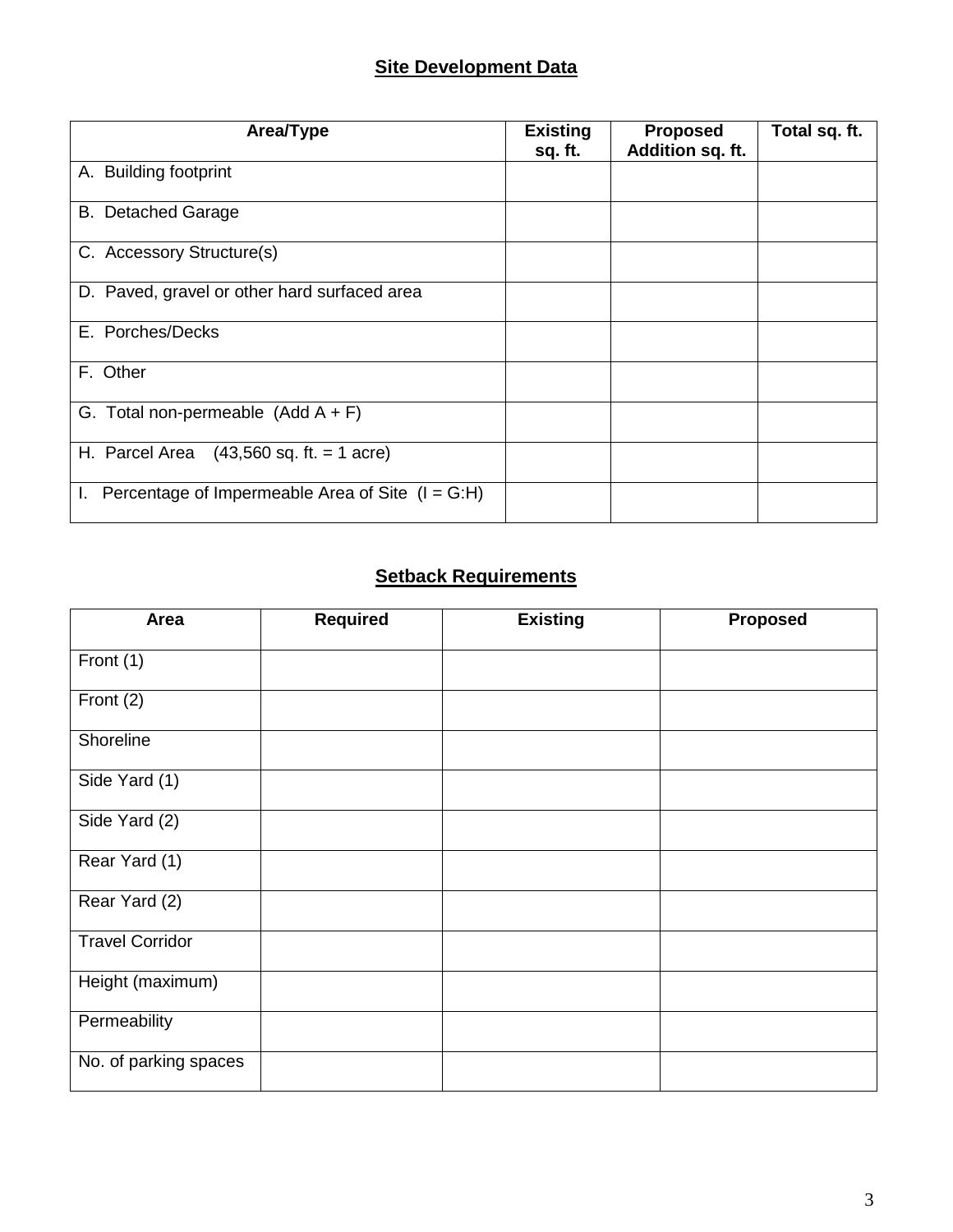## **Site Development Data**

| Area/Type                                                     | <b>Existing</b><br>sq. ft. | <b>Proposed</b><br>Addition sq. ft. | Total sq. ft. |
|---------------------------------------------------------------|----------------------------|-------------------------------------|---------------|
| A. Building footprint                                         |                            |                                     |               |
| <b>B.</b> Detached Garage                                     |                            |                                     |               |
| C. Accessory Structure(s)                                     |                            |                                     |               |
| D. Paved, gravel or other hard surfaced area                  |                            |                                     |               |
| E. Porches/Decks                                              |                            |                                     |               |
| F. Other                                                      |                            |                                     |               |
| G. Total non-permeable $(Add A + F)$                          |                            |                                     |               |
| H. Parcel Area<br>$(43,560 \text{ sq. ft.} = 1 \text{ acre})$ |                            |                                     |               |
| Percentage of Impermeable Area of Site $(I = G:H)$<br>ı.      |                            |                                     |               |

## **Setback Requirements**

| Area                   | <b>Required</b> | <b>Existing</b> | Proposed |
|------------------------|-----------------|-----------------|----------|
| Front (1)              |                 |                 |          |
| Front (2)              |                 |                 |          |
| Shoreline              |                 |                 |          |
| Side Yard (1)          |                 |                 |          |
| Side Yard (2)          |                 |                 |          |
| Rear Yard (1)          |                 |                 |          |
| Rear Yard (2)          |                 |                 |          |
| <b>Travel Corridor</b> |                 |                 |          |
| Height (maximum)       |                 |                 |          |
| Permeability           |                 |                 |          |
| No. of parking spaces  |                 |                 |          |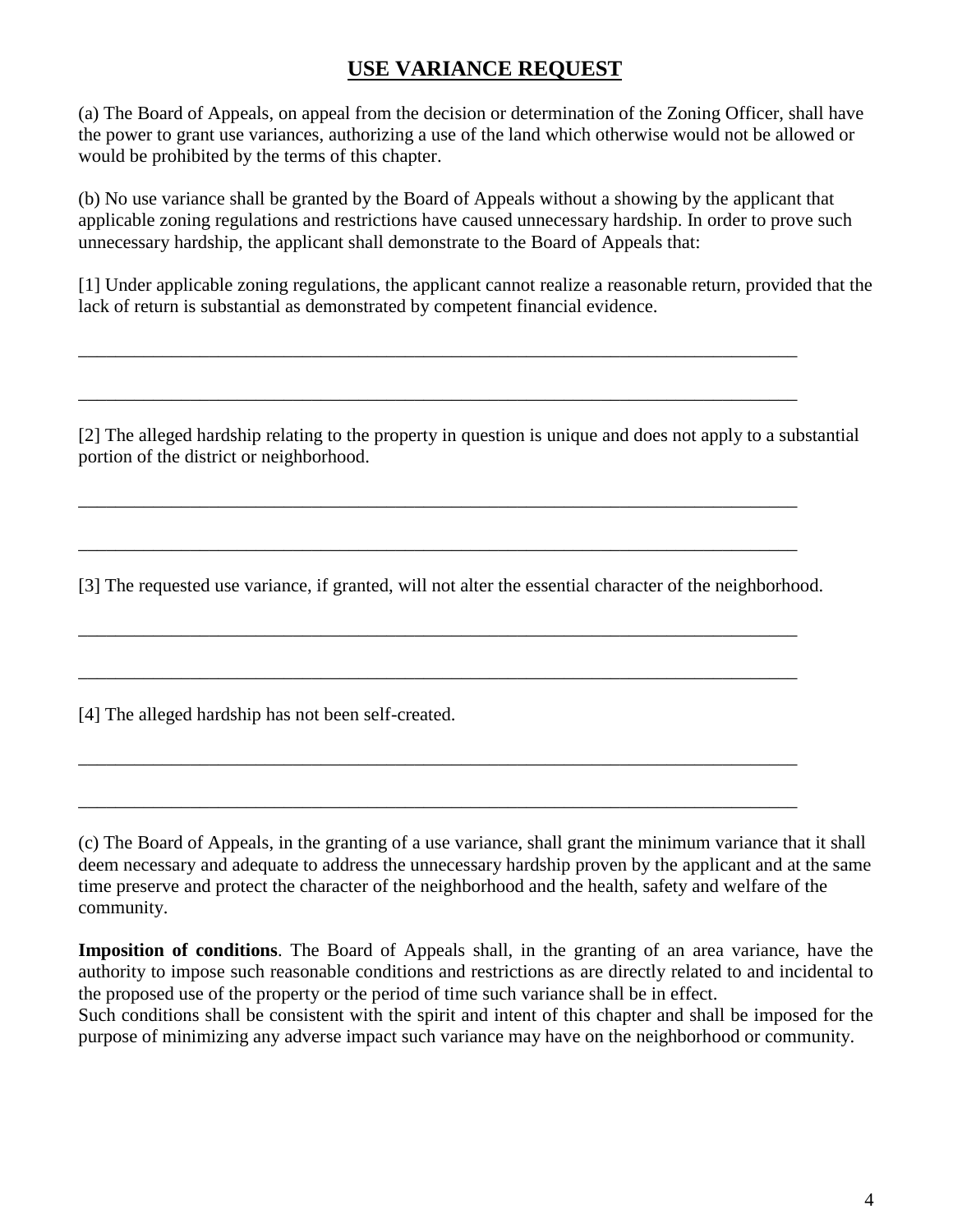## **USE VARIANCE REQUEST**

(a) The Board of Appeals, on appeal from the decision or determination of the Zoning Officer, shall have the power to grant use variances, authorizing a use of the land which otherwise would not be allowed or would be prohibited by the terms of this chapter.

(b) No use variance shall be granted by the Board of Appeals without a showing by the applicant that applicable zoning regulations and restrictions have caused unnecessary hardship. In order to prove such unnecessary hardship, the applicant shall demonstrate to the Board of Appeals that:

[1] Under applicable zoning regulations, the applicant cannot realize a reasonable return, provided that the lack of return is substantial as demonstrated by competent financial evidence.

\_\_\_\_\_\_\_\_\_\_\_\_\_\_\_\_\_\_\_\_\_\_\_\_\_\_\_\_\_\_\_\_\_\_\_\_\_\_\_\_\_\_\_\_\_\_\_\_\_\_\_\_\_\_\_\_\_\_\_\_\_\_\_\_\_\_\_\_\_\_\_\_\_\_\_\_\_

\_\_\_\_\_\_\_\_\_\_\_\_\_\_\_\_\_\_\_\_\_\_\_\_\_\_\_\_\_\_\_\_\_\_\_\_\_\_\_\_\_\_\_\_\_\_\_\_\_\_\_\_\_\_\_\_\_\_\_\_\_\_\_\_\_\_\_\_\_\_\_\_\_\_\_\_\_

\_\_\_\_\_\_\_\_\_\_\_\_\_\_\_\_\_\_\_\_\_\_\_\_\_\_\_\_\_\_\_\_\_\_\_\_\_\_\_\_\_\_\_\_\_\_\_\_\_\_\_\_\_\_\_\_\_\_\_\_\_\_\_\_\_\_\_\_\_\_\_\_\_\_\_\_\_

\_\_\_\_\_\_\_\_\_\_\_\_\_\_\_\_\_\_\_\_\_\_\_\_\_\_\_\_\_\_\_\_\_\_\_\_\_\_\_\_\_\_\_\_\_\_\_\_\_\_\_\_\_\_\_\_\_\_\_\_\_\_\_\_\_\_\_\_\_\_\_\_\_\_\_\_\_

\_\_\_\_\_\_\_\_\_\_\_\_\_\_\_\_\_\_\_\_\_\_\_\_\_\_\_\_\_\_\_\_\_\_\_\_\_\_\_\_\_\_\_\_\_\_\_\_\_\_\_\_\_\_\_\_\_\_\_\_\_\_\_\_\_\_\_\_\_\_\_\_\_\_\_\_\_

\_\_\_\_\_\_\_\_\_\_\_\_\_\_\_\_\_\_\_\_\_\_\_\_\_\_\_\_\_\_\_\_\_\_\_\_\_\_\_\_\_\_\_\_\_\_\_\_\_\_\_\_\_\_\_\_\_\_\_\_\_\_\_\_\_\_\_\_\_\_\_\_\_\_\_\_\_

\_\_\_\_\_\_\_\_\_\_\_\_\_\_\_\_\_\_\_\_\_\_\_\_\_\_\_\_\_\_\_\_\_\_\_\_\_\_\_\_\_\_\_\_\_\_\_\_\_\_\_\_\_\_\_\_\_\_\_\_\_\_\_\_\_\_\_\_\_\_\_\_\_\_\_\_\_

\_\_\_\_\_\_\_\_\_\_\_\_\_\_\_\_\_\_\_\_\_\_\_\_\_\_\_\_\_\_\_\_\_\_\_\_\_\_\_\_\_\_\_\_\_\_\_\_\_\_\_\_\_\_\_\_\_\_\_\_\_\_\_\_\_\_\_\_\_\_\_\_\_\_\_\_\_

[2] The alleged hardship relating to the property in question is unique and does not apply to a substantial portion of the district or neighborhood.

[3] The requested use variance, if granted, will not alter the essential character of the neighborhood.

[4] The alleged hardship has not been self-created.

(c) The Board of Appeals, in the granting of a use variance, shall grant the minimum variance that it shall deem necessary and adequate to address the unnecessary hardship proven by the applicant and at the same time preserve and protect the character of the neighborhood and the health, safety and welfare of the community.

**Imposition of conditions**. The Board of Appeals shall, in the granting of an area variance, have the authority to impose such reasonable conditions and restrictions as are directly related to and incidental to the proposed use of the property or the period of time such variance shall be in effect.

Such conditions shall be consistent with the spirit and intent of this chapter and shall be imposed for the purpose of minimizing any adverse impact such variance may have on the neighborhood or community.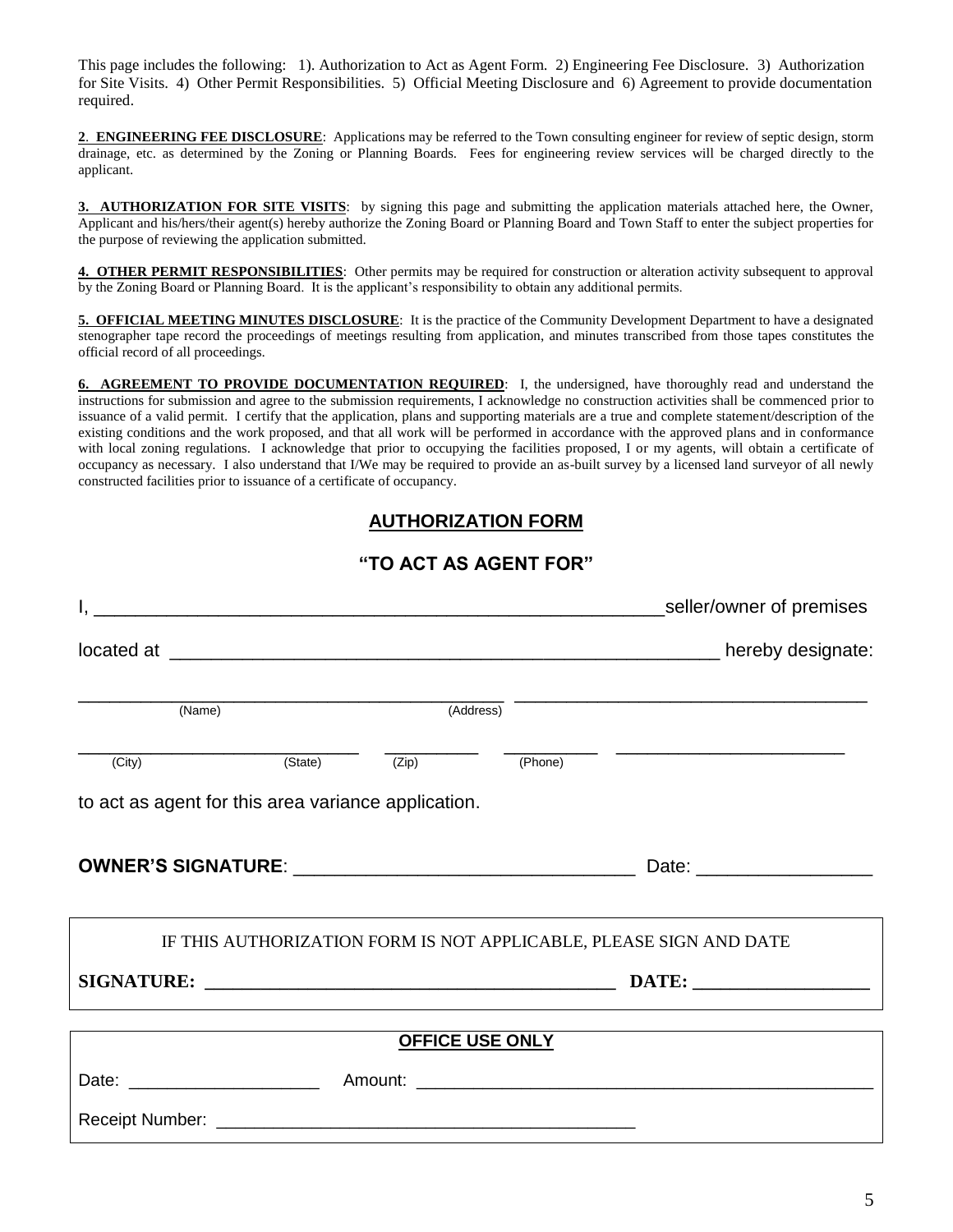This page includes the following: 1). Authorization to Act as Agent Form. 2) Engineering Fee Disclosure. 3) Authorization for Site Visits. 4) Other Permit Responsibilities. 5) Official Meeting Disclosure and 6) Agreement to provide documentation required.

**2**. **ENGINEERING FEE DISCLOSURE**: Applications may be referred to the Town consulting engineer for review of septic design, storm drainage, etc. as determined by the Zoning or Planning Boards. Fees for engineering review services will be charged directly to the applicant.

**3. AUTHORIZATION FOR SITE VISITS**: by signing this page and submitting the application materials attached here, the Owner, Applicant and his/hers/their agent(s) hereby authorize the Zoning Board or Planning Board and Town Staff to enter the subject properties for the purpose of reviewing the application submitted.

**4. OTHER PERMIT RESPONSIBILITIES**: Other permits may be required for construction or alteration activity subsequent to approval by the Zoning Board or Planning Board. It is the applicant's responsibility to obtain any additional permits.

**5. OFFICIAL MEETING MINUTES DISCLOSURE**: It is the practice of the Community Development Department to have a designated stenographer tape record the proceedings of meetings resulting from application, and minutes transcribed from those tapes constitutes the official record of all proceedings.

**6. AGREEMENT TO PROVIDE DOCUMENTATION REQUIRED**: I, the undersigned, have thoroughly read and understand the instructions for submission and agree to the submission requirements, I acknowledge no construction activities shall be commenced prior to issuance of a valid permit. I certify that the application, plans and supporting materials are a true and complete statement/description of the existing conditions and the work proposed, and that all work will be performed in accordance with the approved plans and in conformance with local zoning regulations. I acknowledge that prior to occupying the facilities proposed, I or my agents, will obtain a certificate of occupancy as necessary. I also understand that I/We may be required to provide an as-built survey by a licensed land surveyor of all newly constructed facilities prior to issuance of a certificate of occupancy.

### **AUTHORIZATION FORM**

#### **"TO ACT AS AGENT FOR"**

|                                                     |                                         |         | _seller/owner of premises                                          |
|-----------------------------------------------------|-----------------------------------------|---------|--------------------------------------------------------------------|
|                                                     |                                         |         |                                                                    |
| (Name)                                              | (Address)                               |         |                                                                    |
|                                                     |                                         |         |                                                                    |
| (City)                                              | $\overline{(State)}$ $\overline{(Zip)}$ | (Phone) |                                                                    |
| to act as agent for this area variance application. |                                         |         |                                                                    |
|                                                     |                                         |         |                                                                    |
|                                                     |                                         |         |                                                                    |
|                                                     |                                         |         | IF THIS AUTHORIZATION FORM IS NOT APPLICABLE, PLEASE SIGN AND DATE |
|                                                     |                                         |         |                                                                    |
|                                                     |                                         |         |                                                                    |
|                                                     | <b>OFFICE USE ONLY</b>                  |         |                                                                    |
|                                                     |                                         |         |                                                                    |
|                                                     |                                         |         |                                                                    |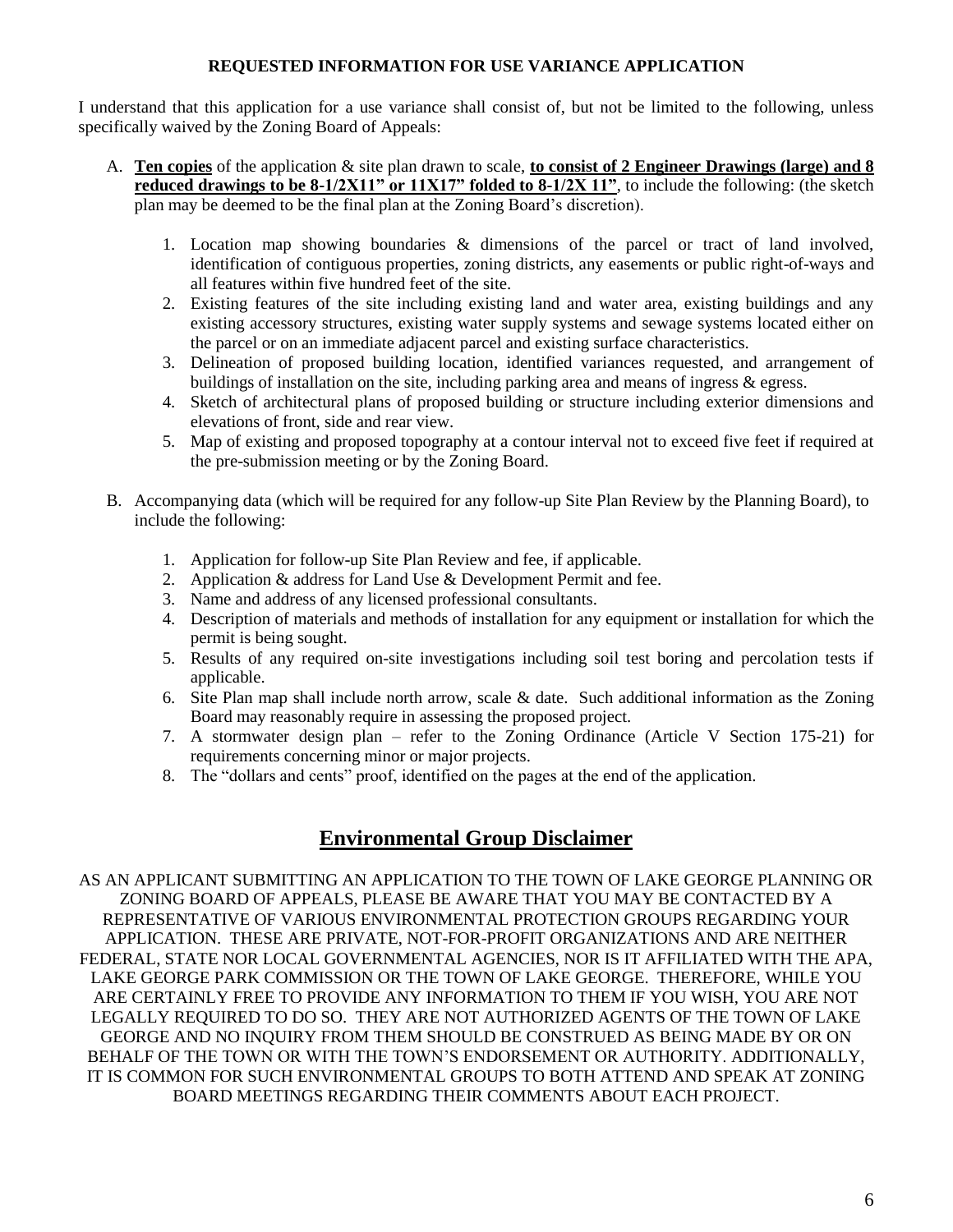#### **REQUESTED INFORMATION FOR USE VARIANCE APPLICATION**

I understand that this application for a use variance shall consist of, but not be limited to the following, unless specifically waived by the Zoning Board of Appeals:

- A. **Ten copies** of the application & site plan drawn to scale, **to consist of 2 Engineer Drawings (large) and 8 reduced drawings to be 8-1/2X11" or 11X17" folded to 8-1/2X 11"**, to include the following: (the sketch plan may be deemed to be the final plan at the Zoning Board's discretion).
	- 1. Location map showing boundaries & dimensions of the parcel or tract of land involved, identification of contiguous properties, zoning districts, any easements or public right-of-ways and all features within five hundred feet of the site.
	- 2. Existing features of the site including existing land and water area, existing buildings and any existing accessory structures, existing water supply systems and sewage systems located either on the parcel or on an immediate adjacent parcel and existing surface characteristics.
	- 3. Delineation of proposed building location, identified variances requested, and arrangement of buildings of installation on the site, including parking area and means of ingress & egress.
	- 4. Sketch of architectural plans of proposed building or structure including exterior dimensions and elevations of front, side and rear view.
	- 5. Map of existing and proposed topography at a contour interval not to exceed five feet if required at the pre-submission meeting or by the Zoning Board.
- B. Accompanying data (which will be required for any follow-up Site Plan Review by the Planning Board), to include the following:
	- 1. Application for follow-up Site Plan Review and fee, if applicable.
	- 2. Application & address for Land Use & Development Permit and fee.
	- 3. Name and address of any licensed professional consultants.
	- 4. Description of materials and methods of installation for any equipment or installation for which the permit is being sought.
	- 5. Results of any required on-site investigations including soil test boring and percolation tests if applicable.
	- 6. Site Plan map shall include north arrow, scale & date. Such additional information as the Zoning Board may reasonably require in assessing the proposed project.
	- 7. A stormwater design plan refer to the Zoning Ordinance (Article V Section 175-21) for requirements concerning minor or major projects.
	- 8. The "dollars and cents" proof, identified on the pages at the end of the application.

### **Environmental Group Disclaimer**

AS AN APPLICANT SUBMITTING AN APPLICATION TO THE TOWN OF LAKE GEORGE PLANNING OR ZONING BOARD OF APPEALS, PLEASE BE AWARE THAT YOU MAY BE CONTACTED BY A REPRESENTATIVE OF VARIOUS ENVIRONMENTAL PROTECTION GROUPS REGARDING YOUR APPLICATION. THESE ARE PRIVATE, NOT-FOR-PROFIT ORGANIZATIONS AND ARE NEITHER FEDERAL, STATE NOR LOCAL GOVERNMENTAL AGENCIES, NOR IS IT AFFILIATED WITH THE APA, LAKE GEORGE PARK COMMISSION OR THE TOWN OF LAKE GEORGE. THEREFORE, WHILE YOU ARE CERTAINLY FREE TO PROVIDE ANY INFORMATION TO THEM IF YOU WISH, YOU ARE NOT LEGALLY REQUIRED TO DO SO. THEY ARE NOT AUTHORIZED AGENTS OF THE TOWN OF LAKE GEORGE AND NO INQUIRY FROM THEM SHOULD BE CONSTRUED AS BEING MADE BY OR ON BEHALF OF THE TOWN OR WITH THE TOWN'S ENDORSEMENT OR AUTHORITY. ADDITIONALLY, IT IS COMMON FOR SUCH ENVIRONMENTAL GROUPS TO BOTH ATTEND AND SPEAK AT ZONING BOARD MEETINGS REGARDING THEIR COMMENTS ABOUT EACH PROJECT.